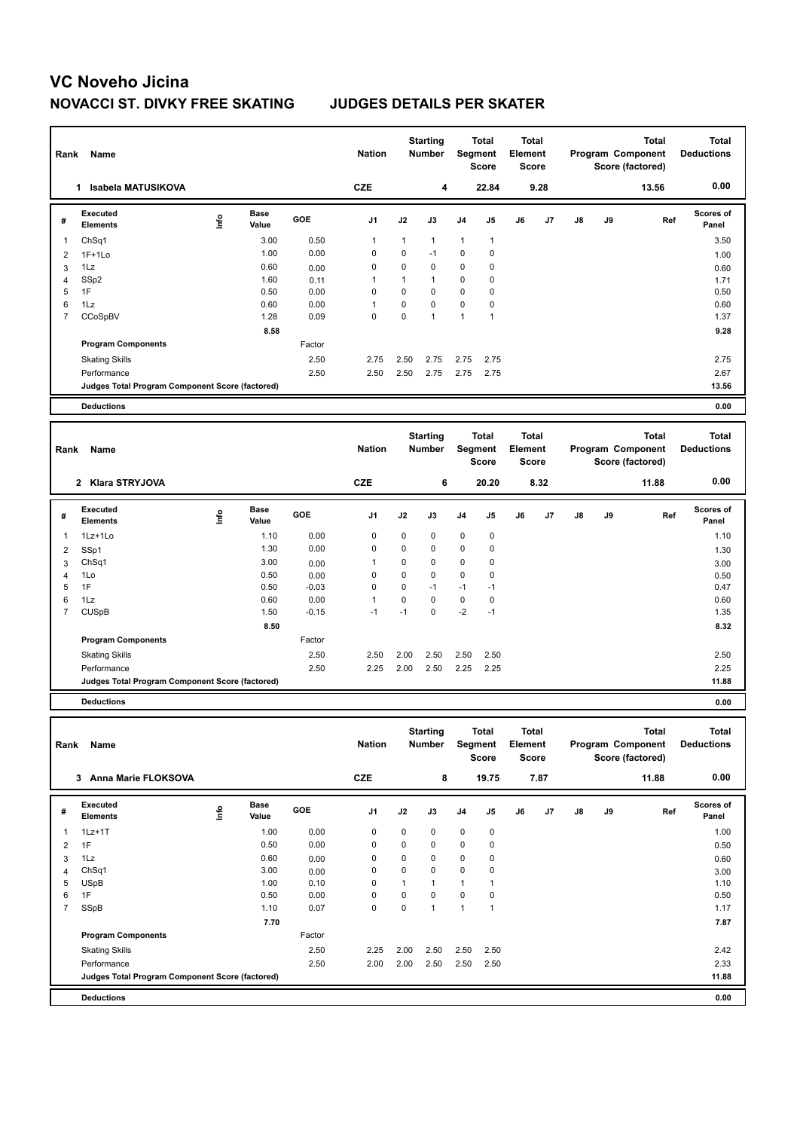| Rank                | Name                                            |      |                      |                 | <b>Nation</b> |                | <b>Starting</b><br><b>Number</b> | Segment        | <b>Total</b><br><b>Score</b> | Total<br>Element<br><b>Score</b> |      |               |    | <b>Total</b><br>Program Component<br>Score (factored) | <b>Total</b><br><b>Deductions</b> |
|---------------------|-------------------------------------------------|------|----------------------|-----------------|---------------|----------------|----------------------------------|----------------|------------------------------|----------------------------------|------|---------------|----|-------------------------------------------------------|-----------------------------------|
|                     | 1 Isabela MATUSIKOVA                            |      |                      |                 | <b>CZE</b>    |                | 4                                |                | 22.84                        |                                  | 9.28 |               |    | 13.56                                                 | 0.00                              |
| #                   | Executed<br><b>Elements</b>                     | lnfo | <b>Base</b><br>Value | GOE             | J1            | J2             | J3                               | J <sub>4</sub> | J <sub>5</sub>               | J6                               | J7   | $\mathsf{J}8$ | J9 | Ref                                                   | <b>Scores of</b><br>Panel         |
| $\mathbf{1}$        | ChSq1                                           |      | 3.00                 | 0.50            | 1             | $\mathbf{1}$   | 1                                | 1              | $\mathbf{1}$                 |                                  |      |               |    |                                                       | 3.50                              |
| $\overline{2}$      | $1F+1Lo$                                        |      | 1.00                 | 0.00            | $\mathbf 0$   | 0              | $-1$                             | 0              | 0                            |                                  |      |               |    |                                                       | 1.00                              |
| 3                   | 1Lz                                             |      | 0.60                 | 0.00            | 0             | 0              | $\mathbf 0$                      | 0              | 0                            |                                  |      |               |    |                                                       | 0.60                              |
| $\overline{4}$      | SSp2                                            |      | 1.60                 | 0.11            | 1             | $\mathbf{1}$   | 1                                | $\mathbf 0$    | 0                            |                                  |      |               |    |                                                       | 1.71                              |
| 5                   | 1F                                              |      | 0.50                 | 0.00            | $\Omega$      | $\Omega$       | $\Omega$                         | $\mathbf 0$    | $\mathbf 0$                  |                                  |      |               |    |                                                       | 0.50                              |
| 6                   | $1\mathsf{L}z$                                  |      | 0.60                 | 0.00            | 1             | 0              | $\mathbf 0$                      | $\mathbf 0$    | $\mathbf 0$                  |                                  |      |               |    |                                                       | 0.60                              |
| $\overline{7}$      | CCoSpBV                                         |      | 1.28                 | 0.09            | $\Omega$      | $\overline{0}$ | $\overline{1}$                   | $\mathbf{1}$   | $\mathbf{1}$                 |                                  |      |               |    |                                                       | 1.37                              |
|                     |                                                 |      | 8.58                 |                 |               |                |                                  |                |                              |                                  |      |               |    |                                                       | 9.28                              |
|                     | <b>Program Components</b>                       |      |                      | Factor          |               |                |                                  |                |                              |                                  |      |               |    |                                                       |                                   |
|                     | <b>Skating Skills</b>                           |      |                      | 2.50            | 2.75          | 2.50           | 2.75                             | 2.75           | 2.75                         |                                  |      |               |    |                                                       | 2.75                              |
|                     | Performance                                     |      |                      | 2.50            | 2.50          | 2.50           | 2.75                             | 2.75           | 2.75                         |                                  |      |               |    |                                                       | 2.67                              |
|                     | Judges Total Program Component Score (factored) |      |                      |                 |               |                |                                  |                |                              |                                  |      |               |    |                                                       | 13.56                             |
|                     | <b>Deductions</b>                               |      |                      |                 |               |                |                                  |                |                              |                                  |      |               |    |                                                       | 0.00                              |
|                     |                                                 |      |                      |                 |               |                |                                  |                |                              |                                  |      |               |    |                                                       |                                   |
|                     |                                                 |      |                      |                 |               |                |                                  |                |                              |                                  |      |               |    | <b>Total</b>                                          |                                   |
|                     | <b>Name</b>                                     |      |                      |                 | <b>Nation</b> |                | <b>Starting</b><br><b>Number</b> | Segment        | <b>Total</b>                 | <b>Total</b><br>Element          |      |               |    | Program Component                                     | <b>Total</b><br><b>Deductions</b> |
| Rank                |                                                 |      |                      |                 |               |                |                                  |                | <b>Score</b>                 | <b>Score</b>                     |      |               |    | Score (factored)                                      |                                   |
|                     |                                                 |      |                      |                 |               |                |                                  |                |                              |                                  |      |               |    |                                                       |                                   |
|                     | 2 Klara STRYJOVA                                |      |                      |                 | <b>CZE</b>    |                | 6                                |                | 20.20                        |                                  | 8.32 |               |    | 11.88                                                 | 0.00                              |
|                     | Executed                                        |      | <b>Base</b>          |                 |               |                |                                  |                |                              |                                  |      |               |    |                                                       | Scores of                         |
| #                   | <b>Elements</b>                                 | lnfo | Value                | GOE             | J1            | J2             | J3                               | J4             | J <sub>5</sub>               | J6                               | J7   | $\mathsf{J}8$ | J9 | Ref                                                   | Panel                             |
| $\mathbf{1}$        | 1Lz+1Lo                                         |      | 1.10                 | 0.00            | 0             | 0              | $\mathbf 0$                      | 0              | $\mathbf 0$                  |                                  |      |               |    |                                                       | 1.10                              |
|                     |                                                 |      | 1.30                 | 0.00            | 0             | 0              | $\mathbf 0$                      | 0              | $\mathbf 0$                  |                                  |      |               |    |                                                       |                                   |
| $\overline{2}$      | SSp1                                            |      | 3.00                 |                 | 1             | $\Omega$       | $\Omega$                         | $\Omega$       | $\Omega$                     |                                  |      |               |    |                                                       | 1.30                              |
| 3                   | Ch <sub>Sq1</sub>                               |      | 0.50                 | 0.00            | $\Omega$      | $\Omega$       | $\Omega$                         | $\mathbf 0$    | $\mathbf 0$                  |                                  |      |               |    |                                                       | 3.00                              |
| $\overline{4}$<br>5 | 1Lo<br>1F                                       |      | 0.50                 | 0.00<br>$-0.03$ | $\mathbf 0$   | 0              | $-1$                             | $-1$           | $-1$                         |                                  |      |               |    |                                                       | 0.50<br>0.47                      |
| 6                   | 1Lz                                             |      | 0.60                 | 0.00            | 1             | 0              | $\mathbf 0$                      | $\mathbf 0$    | $\mathbf 0$                  |                                  |      |               |    |                                                       | 0.60                              |
| $\overline{7}$      | <b>CUSpB</b>                                    |      | 1.50                 | $-0.15$         | $-1$          | $-1$           | $\mathbf 0$                      | $-2$           | $-1$                         |                                  |      |               |    |                                                       | 1.35                              |
|                     |                                                 |      | 8.50                 |                 |               |                |                                  |                |                              |                                  |      |               |    |                                                       | 8.32                              |
|                     | <b>Program Components</b>                       |      |                      | Factor          |               |                |                                  |                |                              |                                  |      |               |    |                                                       |                                   |
|                     |                                                 |      |                      |                 |               |                |                                  |                |                              |                                  |      |               |    |                                                       |                                   |
|                     | <b>Skating Skills</b>                           |      |                      | 2.50            | 2.50          | 2.00           | 2.50                             | 2.50           | 2.50                         |                                  |      |               |    |                                                       | 2.50                              |
|                     | Performance                                     |      |                      | 2.50            | 2.25          | 2.00           | 2.50                             | 2.25           | 2.25                         |                                  |      |               |    |                                                       | 2.25                              |
|                     | Judges Total Program Component Score (factored) |      |                      |                 |               |                |                                  |                |                              |                                  |      |               |    |                                                       | 11.88                             |
|                     | <b>Deductions</b>                               |      |                      |                 |               |                |                                  |                |                              |                                  |      |               |    |                                                       | 0.00                              |
|                     |                                                 |      |                      |                 |               |                |                                  |                |                              |                                  |      |               |    |                                                       |                                   |
|                     |                                                 |      |                      |                 |               |                | <b>Starting</b>                  |                | <b>Total</b>                 | <b>Total</b>                     |      |               |    | <b>Total</b>                                          | <b>Total</b>                      |
|                     | Dank Name                                       |      |                      |                 | <b>Nation</b> |                | Number Compant                   |                |                              | Element                          |      |               |    | <b>Drogram Component</b>                              | <b>Doductions</b>                 |

| Rank | Name                                            |      |                      |        | <b>Nation</b>  |      | Number       |                | Segment<br><b>Score</b> | Element<br>Score |      |    |    | Program Component<br>Score (factored) | <b>Deductions</b>         |
|------|-------------------------------------------------|------|----------------------|--------|----------------|------|--------------|----------------|-------------------------|------------------|------|----|----|---------------------------------------|---------------------------|
|      | <b>Anna Marie FLOKSOVA</b><br>3                 |      |                      |        | <b>CZE</b>     |      | 8            |                | 19.75                   |                  | 7.87 |    |    | 11.88                                 | 0.00                      |
| #    | Executed<br><b>Elements</b>                     | ١nf٥ | <b>Base</b><br>Value | GOE    | J <sub>1</sub> | J2   | J3           | J <sub>4</sub> | J <sub>5</sub>          | J6               | J7   | J8 | J9 | Ref                                   | <b>Scores of</b><br>Panel |
| 1    | $1Lz+1T$                                        |      | 1.00                 | 0.00   | 0              | 0    | 0            | 0              | $\mathbf 0$             |                  |      |    |    |                                       | 1.00                      |
| 2    | 1F                                              |      | 0.50                 | 0.00   | 0              | 0    | 0            | 0              | 0                       |                  |      |    |    |                                       | 0.50                      |
| 3    | 1Lz                                             |      | 0.60                 | 0.00   | 0              | 0    | 0            | $\mathbf 0$    | 0                       |                  |      |    |    |                                       | 0.60                      |
| 4    | Ch <sub>Sq1</sub>                               |      | 3.00                 | 0.00   | 0              | 0    | 0            | 0              | 0                       |                  |      |    |    |                                       | 3.00                      |
| 5    | <b>USpB</b>                                     |      | 1.00                 | 0.10   | 0              | 1    | $\mathbf{1}$ | 1              |                         |                  |      |    |    |                                       | 1.10                      |
| 6    | 1F                                              |      | 0.50                 | 0.00   | 0              | 0    | 0            | 0              | 0                       |                  |      |    |    |                                       | 0.50                      |
| 7    | SSpB                                            |      | 1.10                 | 0.07   | $\mathbf 0$    | 0    | $\mathbf{1}$ | 1              |                         |                  |      |    |    |                                       | 1.17                      |
|      |                                                 |      | 7.70                 |        |                |      |              |                |                         |                  |      |    |    |                                       | 7.87                      |
|      | <b>Program Components</b>                       |      |                      | Factor |                |      |              |                |                         |                  |      |    |    |                                       |                           |
|      | <b>Skating Skills</b>                           |      |                      | 2.50   | 2.25           | 2.00 | 2.50         | 2.50           | 2.50                    |                  |      |    |    |                                       | 2.42                      |
|      | Performance                                     |      |                      | 2.50   | 2.00           | 2.00 | 2.50         | 2.50           | 2.50                    |                  |      |    |    |                                       | 2.33                      |
|      | Judges Total Program Component Score (factored) |      |                      |        |                |      |              |                |                         |                  |      |    |    |                                       | 11.88                     |
|      | <b>Deductions</b>                               |      |                      |        |                |      |              |                |                         |                  |      |    |    |                                       | 0.00                      |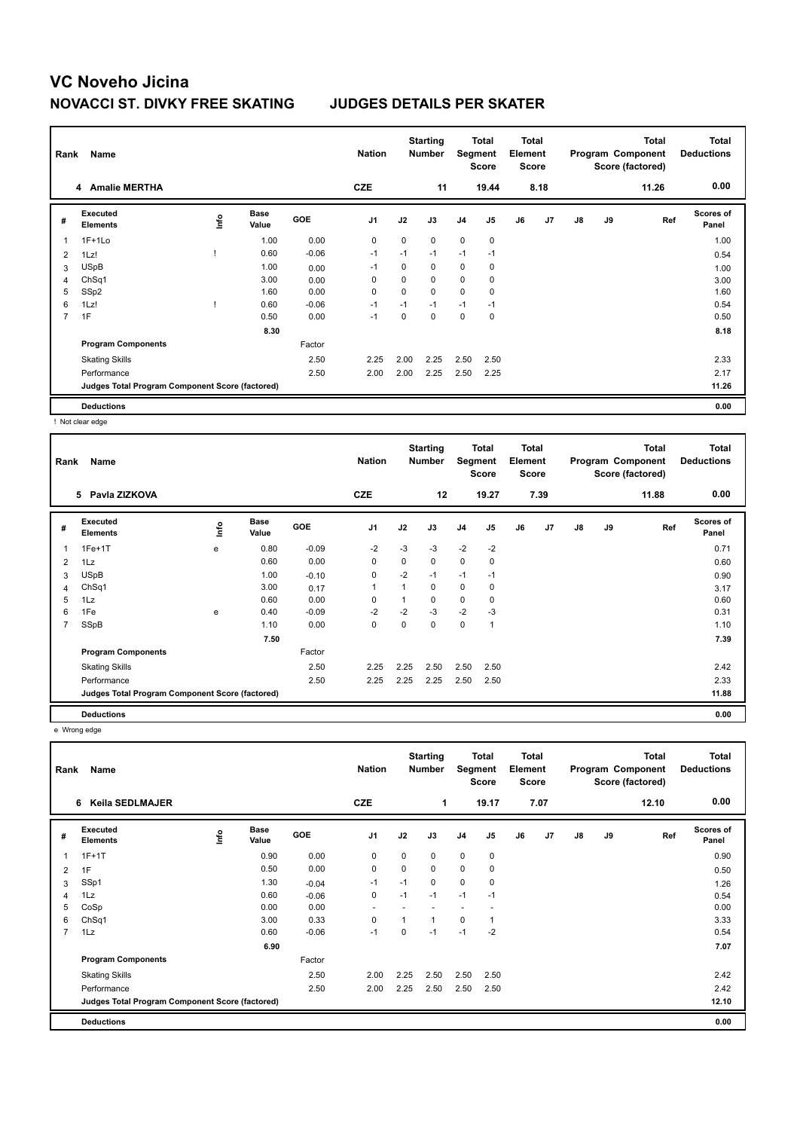| Rank | Name                                            |      |                      |            | <b>Nation</b>  |      | <b>Starting</b><br><b>Number</b> | Segment        | Total<br><b>Score</b> | Total<br>Element<br><b>Score</b> |      |               |    | <b>Total</b><br>Program Component<br>Score (factored) | Total<br><b>Deductions</b> |
|------|-------------------------------------------------|------|----------------------|------------|----------------|------|----------------------------------|----------------|-----------------------|----------------------------------|------|---------------|----|-------------------------------------------------------|----------------------------|
|      | 4 Amalie MERTHA                                 |      |                      |            | <b>CZE</b>     |      | 11                               |                | 19.44                 |                                  | 8.18 |               |    | 11.26                                                 | 0.00                       |
| #    | Executed<br><b>Elements</b>                     | ١nt٥ | <b>Base</b><br>Value | <b>GOE</b> | J <sub>1</sub> | J2   | J3                               | J <sub>4</sub> | J <sub>5</sub>        | J6                               | J7   | $\mathsf{J}8$ | J9 | Ref                                                   | <b>Scores of</b><br>Panel  |
| 1    | $1F+1Lo$                                        |      | 1.00                 | 0.00       | 0              | 0    | $\mathbf 0$                      | $\mathbf 0$    | 0                     |                                  |      |               |    |                                                       | 1.00                       |
| 2    | 1Lz!                                            |      | 0.60                 | $-0.06$    | $-1$           | $-1$ | $-1$                             | $-1$           | $-1$                  |                                  |      |               |    |                                                       | 0.54                       |
| 3    | <b>USpB</b>                                     |      | 1.00                 | 0.00       | $-1$           | 0    | $\mathbf 0$                      | $\mathbf 0$    | 0                     |                                  |      |               |    |                                                       | 1.00                       |
| 4    | Ch <sub>Sq1</sub>                               |      | 3.00                 | 0.00       | 0              | 0    | $\mathbf 0$                      | $\mathbf 0$    | 0                     |                                  |      |               |    |                                                       | 3.00                       |
| 5    | SSp2                                            |      | 1.60                 | 0.00       | 0              | 0    | $\mathbf 0$                      | $\mathbf 0$    | 0                     |                                  |      |               |    |                                                       | 1.60                       |
| 6    | 1Lz!                                            |      | 0.60                 | $-0.06$    | $-1$           | $-1$ | $-1$                             | $-1$           | $-1$                  |                                  |      |               |    |                                                       | 0.54                       |
| 7    | 1F                                              |      | 0.50                 | 0.00       | $-1$           | 0    | $\mathbf 0$                      | $\mathbf 0$    | 0                     |                                  |      |               |    |                                                       | 0.50                       |
|      |                                                 |      | 8.30                 |            |                |      |                                  |                |                       |                                  |      |               |    |                                                       | 8.18                       |
|      | <b>Program Components</b>                       |      |                      | Factor     |                |      |                                  |                |                       |                                  |      |               |    |                                                       |                            |
|      | <b>Skating Skills</b>                           |      |                      | 2.50       | 2.25           | 2.00 | 2.25                             | 2.50           | 2.50                  |                                  |      |               |    |                                                       | 2.33                       |
|      | Performance                                     |      |                      | 2.50       | 2.00           | 2.00 | 2.25                             | 2.50           | 2.25                  |                                  |      |               |    |                                                       | 2.17                       |
|      | Judges Total Program Component Score (factored) |      |                      |            |                |      |                                  |                |                       |                                  |      |               |    |                                                       | 11.26                      |
|      | <b>Deductions</b>                               |      |                      |            |                |      |                                  |                |                       |                                  |      |               |    |                                                       | 0.00                       |

! Not clear edge

| Rank | Name                                            |      |                      |            | <b>Nation</b>  |                | <b>Starting</b><br><b>Number</b> | Segment        | <b>Total</b><br><b>Score</b> | <b>Total</b><br>Element<br><b>Score</b> |      |               |    | <b>Total</b><br>Program Component<br>Score (factored) | <b>Total</b><br><b>Deductions</b> |
|------|-------------------------------------------------|------|----------------------|------------|----------------|----------------|----------------------------------|----------------|------------------------------|-----------------------------------------|------|---------------|----|-------------------------------------------------------|-----------------------------------|
|      | 5 Pavla ZIZKOVA                                 |      |                      |            | <b>CZE</b>     |                | 12                               |                | 19.27                        |                                         | 7.39 |               |    | 11.88                                                 | 0.00                              |
| #    | Executed<br><b>Elements</b>                     | ١nfo | <b>Base</b><br>Value | <b>GOE</b> | J <sub>1</sub> | J2             | J3                               | J <sub>4</sub> | J5                           | J6                                      | J7   | $\mathsf{J}8$ | J9 | Ref                                                   | <b>Scores of</b><br>Panel         |
| 1    | $1Fe+1T$                                        | e    | 0.80                 | $-0.09$    | $-2$           | $-3$           | $-3$                             | $-2$           | $-2$                         |                                         |      |               |    |                                                       | 0.71                              |
| 2    | 1Lz                                             |      | 0.60                 | 0.00       | 0              | 0              | 0                                | 0              | 0                            |                                         |      |               |    |                                                       | 0.60                              |
| 3    | <b>USpB</b>                                     |      | 1.00                 | $-0.10$    | $\mathbf 0$    | $-2$           | $-1$                             | $-1$           | $-1$                         |                                         |      |               |    |                                                       | 0.90                              |
| 4    | Ch <sub>Sq1</sub>                               |      | 3.00                 | 0.17       | $\overline{1}$ | $\overline{1}$ | 0                                | 0              | 0                            |                                         |      |               |    |                                                       | 3.17                              |
| 5    | 1Lz                                             |      | 0.60                 | 0.00       | 0              |                | 0                                | 0              | 0                            |                                         |      |               |    |                                                       | 0.60                              |
| 6    | 1Fe                                             | e    | 0.40                 | $-0.09$    | $-2$           | $-2$           | $-3$                             | $-2$           | $-3$                         |                                         |      |               |    |                                                       | 0.31                              |
| 7    | SSpB                                            |      | 1.10                 | 0.00       | 0              | 0              | 0                                | 0              | 1                            |                                         |      |               |    |                                                       | 1.10                              |
|      |                                                 |      | 7.50                 |            |                |                |                                  |                |                              |                                         |      |               |    |                                                       | 7.39                              |
|      | <b>Program Components</b>                       |      |                      | Factor     |                |                |                                  |                |                              |                                         |      |               |    |                                                       |                                   |
|      | <b>Skating Skills</b>                           |      |                      | 2.50       | 2.25           | 2.25           | 2.50                             | 2.50           | 2.50                         |                                         |      |               |    |                                                       | 2.42                              |
|      | Performance                                     |      |                      | 2.50       | 2.25           | 2.25           | 2.25                             | 2.50           | 2.50                         |                                         |      |               |    |                                                       | 2.33                              |
|      | Judges Total Program Component Score (factored) |      |                      |            |                |                |                                  |                |                              |                                         |      |               |    |                                                       | 11.88                             |
|      | <b>Deductions</b>                               |      |                      |            |                |                |                                  |                |                              |                                         |      |               |    |                                                       | 0.00                              |

e Wrong edge

| Rank           | Name                                            |   |                      |            | <b>Nation</b>            |          | <b>Starting</b><br><b>Number</b> | Segment        | <b>Total</b><br><b>Score</b> | <b>Total</b><br>Element<br><b>Score</b> |      |               |    | <b>Total</b><br>Program Component<br>Score (factored) | <b>Total</b><br><b>Deductions</b> |
|----------------|-------------------------------------------------|---|----------------------|------------|--------------------------|----------|----------------------------------|----------------|------------------------------|-----------------------------------------|------|---------------|----|-------------------------------------------------------|-----------------------------------|
|                | Keila SEDLMAJER<br>6                            |   |                      |            | <b>CZE</b>               |          | 1                                |                | 19.17                        |                                         | 7.07 |               |    | 12.10                                                 | 0.00                              |
| #              | Executed<br><b>Elements</b>                     | ۴ | <b>Base</b><br>Value | <b>GOE</b> | J <sub>1</sub>           | J2       | J3                               | J <sub>4</sub> | J5                           | J6                                      | J7   | $\mathsf{J}8$ | J9 | Ref                                                   | <b>Scores of</b><br>Panel         |
| 1              | $1F+1T$                                         |   | 0.90                 | 0.00       | $\mathbf 0$              | $\Omega$ | $\mathbf 0$                      | $\mathbf 0$    | $\mathbf 0$                  |                                         |      |               |    |                                                       | 0.90                              |
| 2              | 1F                                              |   | 0.50                 | 0.00       | $\mathbf 0$              | 0        | 0                                | $\mathbf 0$    | 0                            |                                         |      |               |    |                                                       | 0.50                              |
| 3              | SSp1                                            |   | 1.30                 | $-0.04$    | $-1$                     | $-1$     | 0                                | $\mathbf 0$    | 0                            |                                         |      |               |    |                                                       | 1.26                              |
| 4              | 1Lz                                             |   | 0.60                 | $-0.06$    | 0                        | $-1$     | $-1$                             | $-1$           | $-1$                         |                                         |      |               |    |                                                       | 0.54                              |
| 5              | CoSp                                            |   | 0.00                 | 0.00       | $\overline{\phantom{a}}$ |          |                                  | ٠              |                              |                                         |      |               |    |                                                       | 0.00                              |
| 6              | Ch <sub>Sq1</sub>                               |   | 3.00                 | 0.33       | 0                        |          | 1                                | 0              | 1                            |                                         |      |               |    |                                                       | 3.33                              |
| $\overline{7}$ | 1Lz                                             |   | 0.60                 | $-0.06$    | $-1$                     | 0        | $-1$                             | $-1$           | $-2$                         |                                         |      |               |    |                                                       | 0.54                              |
|                |                                                 |   | 6.90                 |            |                          |          |                                  |                |                              |                                         |      |               |    |                                                       | 7.07                              |
|                | <b>Program Components</b>                       |   |                      | Factor     |                          |          |                                  |                |                              |                                         |      |               |    |                                                       |                                   |
|                | <b>Skating Skills</b>                           |   |                      | 2.50       | 2.00                     | 2.25     | 2.50                             | 2.50           | 2.50                         |                                         |      |               |    |                                                       | 2.42                              |
|                | Performance                                     |   |                      | 2.50       | 2.00                     | 2.25     | 2.50                             | 2.50           | 2.50                         |                                         |      |               |    |                                                       | 2.42                              |
|                | Judges Total Program Component Score (factored) |   |                      |            |                          |          |                                  |                |                              |                                         |      |               |    |                                                       | 12.10                             |
|                | <b>Deductions</b>                               |   |                      |            |                          |          |                                  |                |                              |                                         |      |               |    |                                                       | 0.00                              |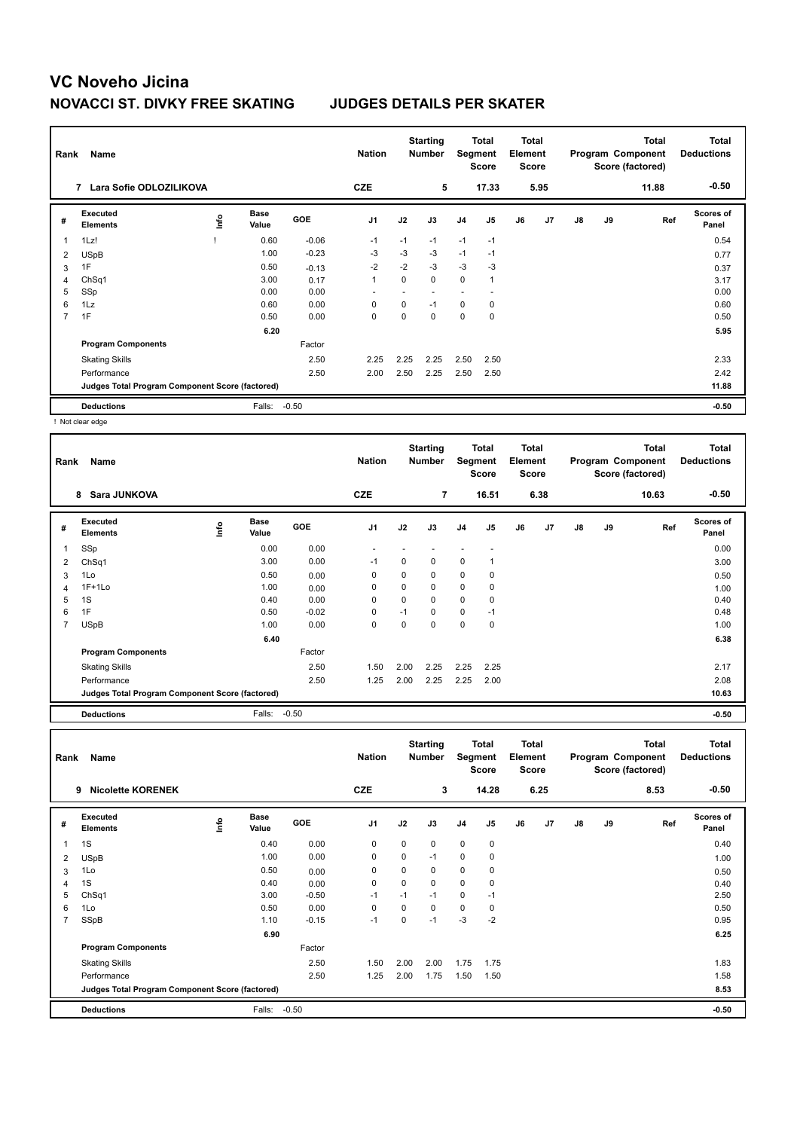| Rank | Name                                            |    |                      |         | <b>Nation</b>  |      | <b>Starting</b><br><b>Number</b> | Segment                  | Total<br><b>Score</b> | <b>Total</b><br>Element<br><b>Score</b> |      |               |    | Total<br>Program Component<br>Score (factored) | <b>Total</b><br><b>Deductions</b> |
|------|-------------------------------------------------|----|----------------------|---------|----------------|------|----------------------------------|--------------------------|-----------------------|-----------------------------------------|------|---------------|----|------------------------------------------------|-----------------------------------|
|      | Lara Sofie ODLOZILIKOVA<br>7                    |    |                      |         | <b>CZE</b>     |      | 5                                |                          | 17.33                 |                                         | 5.95 |               |    | 11.88                                          | $-0.50$                           |
| #    | Executed<br><b>Elements</b>                     | ۴ů | <b>Base</b><br>Value | GOE     | J <sub>1</sub> | J2   | J3                               | J <sub>4</sub>           | J <sub>5</sub>        | J6                                      | J7   | $\mathsf{J}8$ | J9 | Ref                                            | <b>Scores of</b><br>Panel         |
|      | 1Lz!                                            |    | 0.60                 | $-0.06$ | $-1$           | $-1$ | $-1$                             | $-1$                     | $-1$                  |                                         |      |               |    |                                                | 0.54                              |
| 2    | <b>USpB</b>                                     |    | 1.00                 | $-0.23$ | $-3$           | $-3$ | $-3$                             | $-1$                     | $-1$                  |                                         |      |               |    |                                                | 0.77                              |
| 3    | 1F                                              |    | 0.50                 | $-0.13$ | $-2$           | $-2$ | $-3$                             | $-3$                     | -3                    |                                         |      |               |    |                                                | 0.37                              |
| 4    | ChSq1                                           |    | 3.00                 | 0.17    | $\overline{1}$ | 0    | $\mathbf 0$                      | $\mathbf 0$              |                       |                                         |      |               |    |                                                | 3.17                              |
| 5    | SSp                                             |    | 0.00                 | 0.00    |                | ٠    |                                  | $\overline{\phantom{a}}$ | ٠                     |                                         |      |               |    |                                                | 0.00                              |
| 6    | 1Lz                                             |    | 0.60                 | 0.00    | 0              | 0    | $-1$                             | 0                        | 0                     |                                         |      |               |    |                                                | 0.60                              |
| 7    | 1F                                              |    | 0.50                 | 0.00    | 0              | 0    | 0                                | 0                        | 0                     |                                         |      |               |    |                                                | 0.50                              |
|      |                                                 |    | 6.20                 |         |                |      |                                  |                          |                       |                                         |      |               |    |                                                | 5.95                              |
|      | <b>Program Components</b>                       |    |                      | Factor  |                |      |                                  |                          |                       |                                         |      |               |    |                                                |                                   |
|      | <b>Skating Skills</b>                           |    |                      | 2.50    | 2.25           | 2.25 | 2.25                             | 2.50                     | 2.50                  |                                         |      |               |    |                                                | 2.33                              |
|      | Performance                                     |    |                      | 2.50    | 2.00           | 2.50 | 2.25                             | 2.50                     | 2.50                  |                                         |      |               |    |                                                | 2.42                              |
|      | Judges Total Program Component Score (factored) |    |                      |         |                |      |                                  |                          |                       |                                         |      |               |    |                                                | 11.88                             |
|      | <b>Deductions</b>                               |    | Falls:               | $-0.50$ |                |      |                                  |                          |                       |                                         |      |               |    |                                                | $-0.50$                           |

! Not clear edge

| Rank           | Name                                            |      |               |         | <b>Nation</b>  |          | <b>Starting</b><br><b>Number</b> | Segment     | Total<br><b>Score</b> | <b>Total</b><br>Element<br><b>Score</b> |      |    |    | <b>Total</b><br>Program Component<br>Score (factored) | <b>Total</b><br><b>Deductions</b><br>$-0.50$ |
|----------------|-------------------------------------------------|------|---------------|---------|----------------|----------|----------------------------------|-------------|-----------------------|-----------------------------------------|------|----|----|-------------------------------------------------------|----------------------------------------------|
|                | 8 Sara JUNKOVA                                  |      |               |         | <b>CZE</b>     |          | 7                                |             | 16.51                 |                                         | 6.38 |    |    | 10.63                                                 |                                              |
| #              | Executed<br><b>Elements</b>                     | ١nfo | Base<br>Value | GOE     | J <sub>1</sub> | J2       | J3                               | J4          | J <sub>5</sub>        | J6                                      | J7   | J8 | J9 | Ref                                                   | Scores of<br>Panel                           |
| 1              | SSp                                             |      | 0.00          | 0.00    |                |          |                                  |             |                       |                                         |      |    |    |                                                       | 0.00                                         |
| 2              | Ch <sub>Sq1</sub>                               |      | 3.00          | 0.00    | $-1$           | $\Omega$ | 0                                | 0           |                       |                                         |      |    |    |                                                       | 3.00                                         |
| 3              | 1Lo                                             |      | 0.50          | 0.00    | 0              | 0        | 0                                | $\mathbf 0$ | 0                     |                                         |      |    |    |                                                       | 0.50                                         |
| 4              | $1F+1Lo$                                        |      | 1.00          | 0.00    | 0              | $\Omega$ | 0                                | $\mathbf 0$ | 0                     |                                         |      |    |    |                                                       | 1.00                                         |
| 5              | 1S                                              |      | 0.40          | 0.00    | 0              | 0        | 0                                | 0           | 0                     |                                         |      |    |    |                                                       | 0.40                                         |
| 6              | 1F                                              |      | 0.50          | $-0.02$ | 0              | $-1$     | 0                                | $\mathbf 0$ | $-1$                  |                                         |      |    |    |                                                       | 0.48                                         |
| $\overline{7}$ | <b>USpB</b>                                     |      | 1.00          | 0.00    | 0              | 0        | 0                                | 0           | 0                     |                                         |      |    |    |                                                       | 1.00                                         |
|                |                                                 |      | 6.40          |         |                |          |                                  |             |                       |                                         |      |    |    |                                                       | 6.38                                         |
|                | <b>Program Components</b>                       |      |               | Factor  |                |          |                                  |             |                       |                                         |      |    |    |                                                       |                                              |
|                | <b>Skating Skills</b>                           |      |               | 2.50    | 1.50           | 2.00     | 2.25                             | 2.25        | 2.25                  |                                         |      |    |    |                                                       | 2.17                                         |
|                | Performance                                     |      |               | 2.50    | 1.25           | 2.00     | 2.25                             | 2.25        | 2.00                  |                                         |      |    |    |                                                       | 2.08                                         |
|                | Judges Total Program Component Score (factored) |      |               |         |                |          |                                  |             |                       |                                         |      |    |    |                                                       | 10.63                                        |
|                | <b>Deductions</b>                               |      | Falls:        | $-0.50$ |                |          |                                  |             |                       |                                         |      |    |    |                                                       | $-0.50$                                      |

| Rank           | Name                                            |      |                      |            | <b>Nation</b>  |      | <b>Starting</b><br><b>Number</b> | Segment        | Total<br><b>Score</b> | <b>Total</b><br>Element<br><b>Score</b> |      |               |    | Total<br>Program Component<br>Score (factored) | <b>Total</b><br><b>Deductions</b> |
|----------------|-------------------------------------------------|------|----------------------|------------|----------------|------|----------------------------------|----------------|-----------------------|-----------------------------------------|------|---------------|----|------------------------------------------------|-----------------------------------|
|                | <b>Nicolette KORENEK</b><br>9                   |      |                      |            | <b>CZE</b>     |      | 3                                |                | 14.28                 |                                         | 6.25 |               |    | 8.53                                           | $-0.50$                           |
| #              | Executed<br><b>Elements</b>                     | Info | <b>Base</b><br>Value | <b>GOE</b> | J <sub>1</sub> | J2   | J3                               | J <sub>4</sub> | J <sub>5</sub>        | J6                                      | J7   | $\mathsf{J}8$ | J9 | Ref                                            | <b>Scores of</b><br>Panel         |
|                | 1S                                              |      | 0.40                 | 0.00       | 0              | 0    | $\mathbf 0$                      | 0              | $\pmb{0}$             |                                         |      |               |    |                                                | 0.40                              |
| 2              | <b>USpB</b>                                     |      | 1.00                 | 0.00       | 0              | 0    | $-1$                             | 0              | 0                     |                                         |      |               |    |                                                | 1.00                              |
| 3              | 1Lo                                             |      | 0.50                 | 0.00       | 0              | 0    | $\mathbf 0$                      | 0              | 0                     |                                         |      |               |    |                                                | 0.50                              |
| 4              | 1S                                              |      | 0.40                 | 0.00       | 0              | 0    | 0                                | 0              | 0                     |                                         |      |               |    |                                                | 0.40                              |
| 5              | ChSq1                                           |      | 3.00                 | $-0.50$    | -1             | $-1$ | $-1$                             | 0              | $-1$                  |                                         |      |               |    |                                                | 2.50                              |
| 6              | 1Lo                                             |      | 0.50                 | 0.00       | 0              | 0    | $\mathbf 0$                      | 0              | 0                     |                                         |      |               |    |                                                | 0.50                              |
| $\overline{7}$ | SSpB                                            |      | 1.10                 | $-0.15$    | $-1$           | 0    | $-1$                             | $-3$           | $-2$                  |                                         |      |               |    |                                                | 0.95                              |
|                |                                                 |      | 6.90                 |            |                |      |                                  |                |                       |                                         |      |               |    |                                                | 6.25                              |
|                | <b>Program Components</b>                       |      |                      | Factor     |                |      |                                  |                |                       |                                         |      |               |    |                                                |                                   |
|                | <b>Skating Skills</b>                           |      |                      | 2.50       | 1.50           | 2.00 | 2.00                             | 1.75           | 1.75                  |                                         |      |               |    |                                                | 1.83                              |
|                | Performance                                     |      |                      | 2.50       | 1.25           | 2.00 | 1.75                             | 1.50           | 1.50                  |                                         |      |               |    |                                                | 1.58                              |
|                | Judges Total Program Component Score (factored) |      |                      |            |                |      |                                  |                |                       |                                         |      |               |    |                                                | 8.53                              |
|                | <b>Deductions</b>                               |      | Falls:               | $-0.50$    |                |      |                                  |                |                       |                                         |      |               |    |                                                | $-0.50$                           |